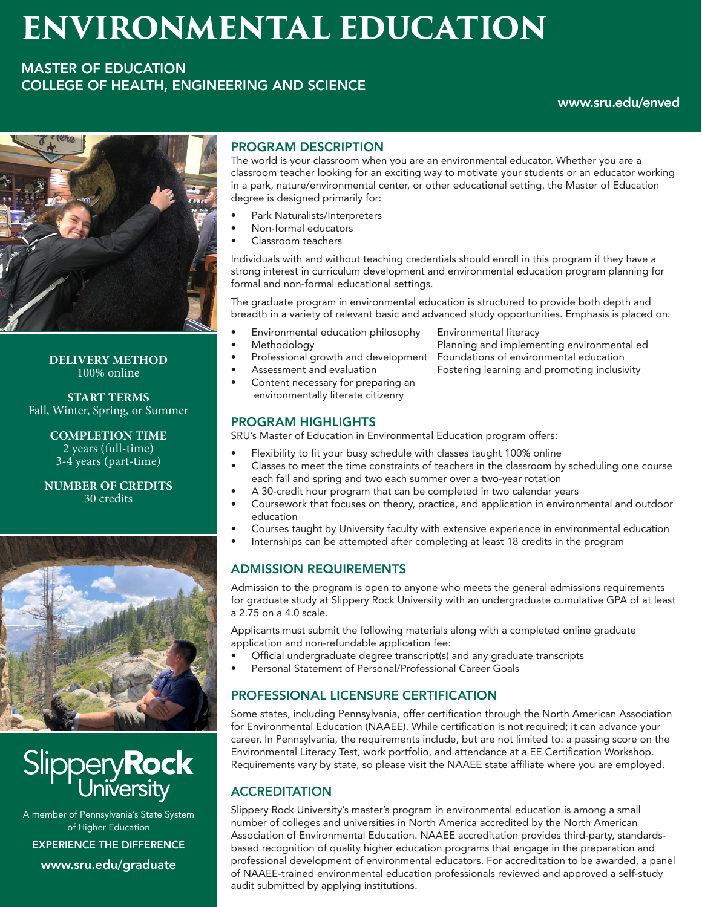# **ENVIRONMENTAL EDUCATION**

# MASTER OF EDUCATION COLLEGE OF HEALTH, ENGINEERING AND SCIENCE

### www.sru.edu/enved



**DELIVERY METHOD** 100% online

**START TERMS** Fall, Winter, Spring, or Summer

> **COMPLETION TIME** 2 years (full-time) 3-4 years (part-time)

**NUMBER OF CREDITS** 30 credits



Slippery**Rock**<br>University

A member of Pennsylvania's State System of Higher Education EXPERIENCE THE DIFFERENCE www.sru.edu/graduate

# PROGRAM DESCRIPTION

The world is your classroom when you are an environmental educator. Whether you are a classroom teacher looking for an exciting way to motivate your students or an educator working in a park, nature/environmental center, or other educational setting, the Master of Education degree is designed primarily for:

- Park Naturalists/Interpreters
- Non-formal educators
- Classroom teachers

Individuals with and without teaching credentials should enroll in this program if they have a strong interest in curriculum development and environmental education program planning for formal and non-formal educational settings.

The graduate program in environmental education is structured to provide both depth and breadth in a variety of relevant basic and advanced study opportunities. Emphasis is placed on:

- Environmental education philosophy Environmental literacy
- 
- 
- 
- Content necessary for preparing an environmentally literate citizenry

Methodology **Planning and implementing environmental ed** • Professional growth and development Foundations of environmental education Assessment and evaluation **Fostering learning and promoting inclusivity** 

### PROGRAM HIGHLIGHTS

SRU's Master of Education in Environmental Education program offers:

- Flexibility to fit your busy schedule with classes taught 100% online
- Classes to meet the time constraints of teachers in the classroom by scheduling one course each fall and spring and two each summer over a two-year rotation
- A 30-credit hour program that can be completed in two calendar years
- Coursework that focuses on theory, practice, and application in environmental and outdoor education
- Courses taught by University faculty with extensive experience in environmental education
- Internships can be attempted after completing at least 18 credits in the program

### ADMISSION REQUIREMENTS

Admission to the program is open to anyone who meets the general admissions requirements for graduate study at Slippery Rock University with an undergraduate cumulative GPA of at least a 2.75 on a 4.0 scale.

Applicants must submit the following materials along with a completed online graduate application and non-refundable application fee:

- Official undergraduate degree transcript(s) and any graduate transcripts
- Personal Statement of Personal/Professional Career Goals

### PROFESSIONAL LICENSURE CERTIFICATION

Some states, including Pennsylvania, offer certification through the North American Association for Environmental Education (NAAEE). While certification is not required; it can advance your career. In Pennsylvania, the requirements include, but are not limited to: a passing score on the Environmental Literacy Test, work portfolio, and attendance at a EE Certification Workshop. Requirements vary by state, so please visit the NAAEE state affiliate where you are employed.

## **ACCREDITATION**

Slippery Rock University's master's program in environmental education is among a small number of colleges and universities in North America accredited by the North American Association of Environmental Education. NAAEE accreditation provides third-party, standardsbased recognition of quality higher education programs that engage in the preparation and professional development of environmental educators. For accreditation to be awarded, a panel of NAAEE-trained environmental education professionals reviewed and approved a self-study audit submitted by applying institutions.